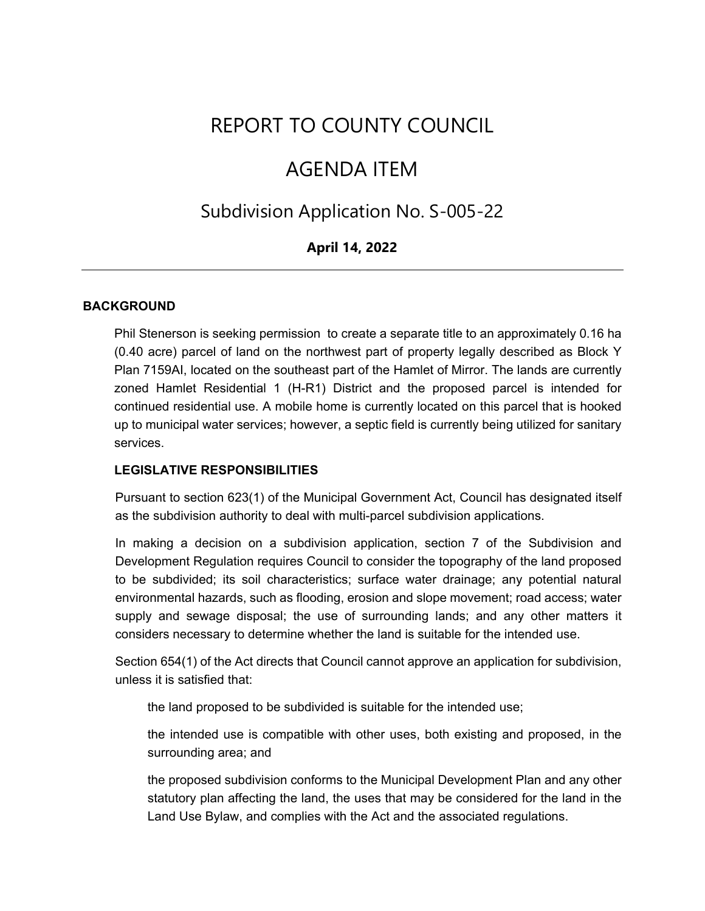# REPORT TO COUNTY COUNCIL

## AGENDA ITEM

## Subdivision Application No. S-005-22

### **April 14, 2022**

#### **BACKGROUND**

Phil Stenerson is seeking permission to create a separate title to an approximately 0.16 ha (0.40 acre) parcel of land on the northwest part of property legally described as Block Y Plan 7159AI, located on the southeast part of the Hamlet of Mirror. The lands are currently zoned Hamlet Residential 1 (H-R1) District and the proposed parcel is intended for continued residential use. A mobile home is currently located on this parcel that is hooked up to municipal water services; however, a septic field is currently being utilized for sanitary services.

#### **LEGISLATIVE RESPONSIBILITIES**

Pursuant to section 623(1) of the Municipal Government Act, Council has designated itself as the subdivision authority to deal with multi-parcel subdivision applications.

In making a decision on a subdivision application, section 7 of the Subdivision and Development Regulation requires Council to consider the topography of the land proposed to be subdivided; its soil characteristics; surface water drainage; any potential natural environmental hazards, such as flooding, erosion and slope movement; road access; water supply and sewage disposal; the use of surrounding lands; and any other matters it considers necessary to determine whether the land is suitable for the intended use.

Section 654(1) of the Act directs that Council cannot approve an application for subdivision, unless it is satisfied that:

the land proposed to be subdivided is suitable for the intended use;

the intended use is compatible with other uses, both existing and proposed, in the surrounding area; and

the proposed subdivision conforms to the Municipal Development Plan and any other statutory plan affecting the land, the uses that may be considered for the land in the Land Use Bylaw, and complies with the Act and the associated regulations.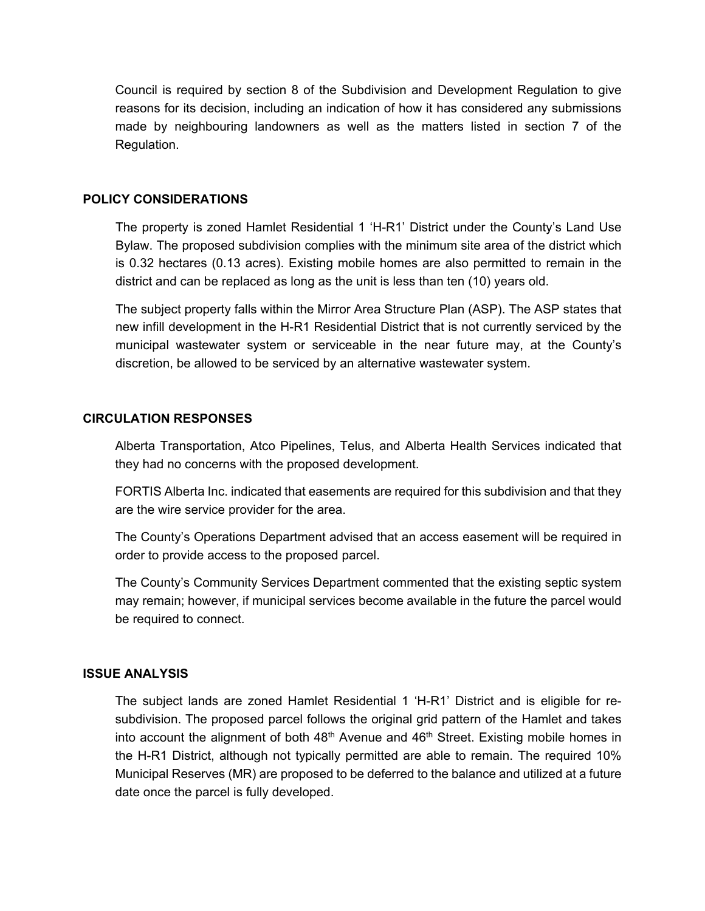Council is required by section 8 of the Subdivision and Development Regulation to give reasons for its decision, including an indication of how it has considered any submissions made by neighbouring landowners as well as the matters listed in section 7 of the Regulation.

#### **POLICY CONSIDERATIONS**

The property is zoned Hamlet Residential 1 'H-R1' District under the County's Land Use Bylaw. The proposed subdivision complies with the minimum site area of the district which is 0.32 hectares (0.13 acres). Existing mobile homes are also permitted to remain in the district and can be replaced as long as the unit is less than ten (10) years old.

The subject property falls within the Mirror Area Structure Plan (ASP). The ASP states that new infill development in the H-R1 Residential District that is not currently serviced by the municipal wastewater system or serviceable in the near future may, at the County's discretion, be allowed to be serviced by an alternative wastewater system.

#### **CIRCULATION RESPONSES**

Alberta Transportation, Atco Pipelines, Telus, and Alberta Health Services indicated that they had no concerns with the proposed development.

FORTIS Alberta Inc. indicated that easements are required for this subdivision and that they are the wire service provider for the area.

The County's Operations Department advised that an access easement will be required in order to provide access to the proposed parcel.

The County's Community Services Department commented that the existing septic system may remain; however, if municipal services become available in the future the parcel would be required to connect.

#### **ISSUE ANALYSIS**

The subject lands are zoned Hamlet Residential 1 'H-R1' District and is eligible for resubdivision. The proposed parcel follows the original grid pattern of the Hamlet and takes into account the alignment of both  $48<sup>th</sup>$  Avenue and  $46<sup>th</sup>$  Street. Existing mobile homes in the H-R1 District, although not typically permitted are able to remain. The required 10% Municipal Reserves (MR) are proposed to be deferred to the balance and utilized at a future date once the parcel is fully developed.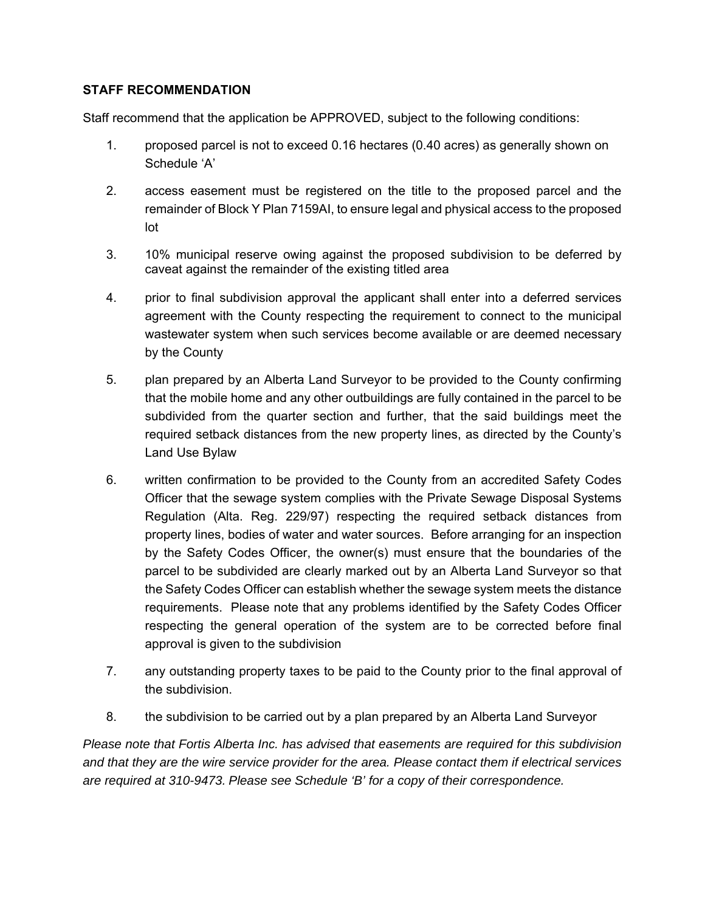#### **STAFF RECOMMENDATION**

Staff recommend that the application be APPROVED, subject to the following conditions:

- 1. proposed parcel is not to exceed 0.16 hectares (0.40 acres) as generally shown on Schedule 'A'
- 2. access easement must be registered on the title to the proposed parcel and the remainder of Block Y Plan 7159AI, to ensure legal and physical access to the proposed lot
- 3. 10% municipal reserve owing against the proposed subdivision to be deferred by caveat against the remainder of the existing titled area
- 4. prior to final subdivision approval the applicant shall enter into a deferred services agreement with the County respecting the requirement to connect to the municipal wastewater system when such services become available or are deemed necessary by the County
- 5. plan prepared by an Alberta Land Surveyor to be provided to the County confirming that the mobile home and any other outbuildings are fully contained in the parcel to be subdivided from the quarter section and further, that the said buildings meet the required setback distances from the new property lines, as directed by the County's Land Use Bylaw
- 6. written confirmation to be provided to the County from an accredited Safety Codes Officer that the sewage system complies with the Private Sewage Disposal Systems Regulation (Alta. Reg. 229/97) respecting the required setback distances from property lines, bodies of water and water sources. Before arranging for an inspection by the Safety Codes Officer, the owner(s) must ensure that the boundaries of the parcel to be subdivided are clearly marked out by an Alberta Land Surveyor so that the Safety Codes Officer can establish whether the sewage system meets the distance requirements. Please note that any problems identified by the Safety Codes Officer respecting the general operation of the system are to be corrected before final approval is given to the subdivision
- 7. any outstanding property taxes to be paid to the County prior to the final approval of the subdivision.
- 8. the subdivision to be carried out by a plan prepared by an Alberta Land Surveyor

*Please note that Fortis Alberta Inc. has advised that easements are required for this subdivision and that they are the wire service provider for the area. Please contact them if electrical services are required at 310-9473. Please see Schedule 'B' for a copy of their correspondence.*